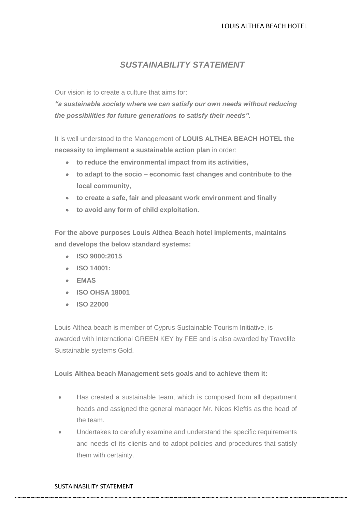# *SUSTAINABILITY STATEMENT*

Our vision is to create a culture that aims for:

*"a sustainable society where we can satisfy our own needs without reducing the possibilities for future generations to satisfy their needs".*

It is well understood to the Management of **LOUIS ALTHEA BEACH HOTEL the necessity to implement a sustainable action plan** in order:

- **to reduce the environmental impact from its activities,**
- **to adapt to the socio – economic fast changes and contribute to the local community,**
- **to create a safe, fair and pleasant work environment and finally**
- **to avoid any form of child exploitation.**

**For the above purposes Louis Althea Beach hotel implements, maintains and develops the below standard systems:**

- **ISO 9000:2015**
- **ISO 14001:**
- **EMAS**
- **ISO OHSA 18001**
- **ISO 22000**

Louis Althea beach is member of Cyprus Sustainable Tourism Initiative, is awarded with International GREEN KEY by FEE and is also awarded by Travelife Sustainable systems Gold.

# **Louis Althea beach Management sets goals and to achieve them it:**

- Has created a sustainable team, which is composed from all department heads and assigned the general manager Mr. Nicos Kleftis as the head of the team.
- Undertakes to carefully examine and understand the specific requirements and needs of its clients and to adopt policies and procedures that satisfy them with certainty.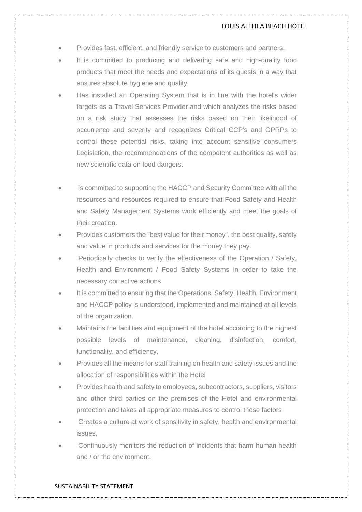- Provides fast, efficient, and friendly service to customers and partners.
- It is committed to producing and delivering safe and high-quality food products that meet the needs and expectations of its guests in a way that ensures absolute hygiene and quality.
- Has installed an Operating System that is in line with the hotel's wider targets as a Travel Services Provider and which analyzes the risks based on a risk study that assesses the risks based on their likelihood of occurrence and severity and recognizes Critical CCP's and OPRPs to control these potential risks, taking into account sensitive consumers Legislation, the recommendations of the competent authorities as well as new scientific data on food dangers.
- is committed to supporting the HACCP and Security Committee with all the resources and resources required to ensure that Food Safety and Health and Safety Management Systems work efficiently and meet the goals of their creation.
- Provides customers the "best value for their money", the best quality, safety and value in products and services for the money they pay.
- Periodically checks to verify the effectiveness of the Operation / Safety, Health and Environment / Food Safety Systems in order to take the necessary corrective actions
- It is committed to ensuring that the Operations, Safety, Health, Environment and HACCP policy is understood, implemented and maintained at all levels of the organization.
- Maintains the facilities and equipment of the hotel according to the highest possible levels of maintenance, cleaning, disinfection, comfort, functionality, and efficiency.
- Provides all the means for staff training on health and safety issues and the allocation of responsibilities within the Hotel
- Provides health and safety to employees, subcontractors, suppliers, visitors and other third parties on the premises of the Hotel and environmental protection and takes all appropriate measures to control these factors
- Creates a culture at work of sensitivity in safety, health and environmental issues.
- Continuously monitors the reduction of incidents that harm human health and / or the environment.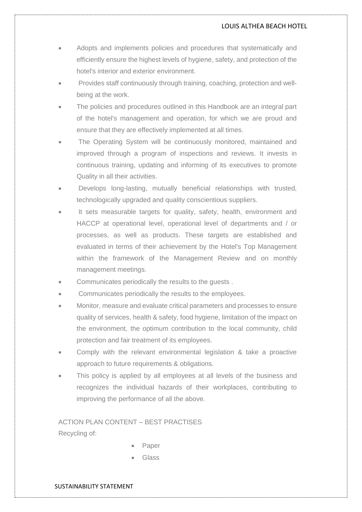- Adopts and implements policies and procedures that systematically and efficiently ensure the highest levels of hygiene, safety, and protection of the hotel's interior and exterior environment.
- Provides staff continuously through training, coaching, protection and wellbeing at the work.
- The policies and procedures outlined in this Handbook are an integral part of the hotel's management and operation, for which we are proud and ensure that they are effectively implemented at all times.
- The Operating System will be continuously monitored, maintained and improved through a program of inspections and reviews. It invests in continuous training, updating and informing of its executives to promote Quality in all their activities.
- Develops long-lasting, mutually beneficial relationships with trusted, technologically upgraded and quality conscientious suppliers.
- It sets measurable targets for quality, safety, health, environment and HACCP at operational level, operational level of departments and / or processes, as well as products. These targets are established and evaluated in terms of their achievement by the Hotel's Top Management within the framework of the Management Review and on monthly management meetings.
- Communicates periodically the results to the guests .
- Communicates periodically the results to the employees.
- Monitor, measure and evaluate critical parameters and processes to ensure quality of services, health & safety, food hygiene, limitation of the impact on the environment, the optimum contribution to the local community, child protection and fair treatment of its employees.
- Comply with the relevant environmental legislation & take a proactive approach to future requirements & obligations.
- This policy is applied by all employees at all levels of the business and recognizes the individual hazards of their workplaces, contributing to improving the performance of all the above.

ACTION PLAN CONTENT – BEST PRACTISES Recycling of:

- Paper
- Glass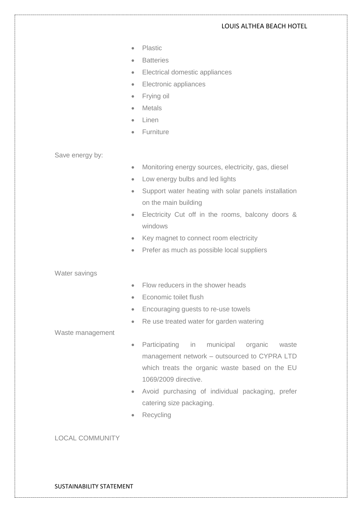- Plastic
- Batteries
- Electrical domestic appliances
- Electronic appliances
- Frying oil
- Metals
- Linen
- Furniture

Save energy by:

- Monitoring energy sources, electricity, gas, diesel
- Low energy bulbs and led lights
- Support water heating with solar panels installation on the main building
- Electricity Cut off in the rooms, balcony doors & windows
- Key magnet to connect room electricity
- Prefer as much as possible local suppliers

Water savings

- Flow reducers in the shower heads
- Economic toilet flush
- Encouraging guests to re-use towels
- Re use treated water for garden watering

Waste management

- Participating in municipal organic waste management network – outsourced to CYPRA LTD which treats the organic waste based on the EU 1069/2009 directive.
- Avoid purchasing of individual packaging, prefer catering size packaging.
- **Recycling**

# LOCAL COMMUNITY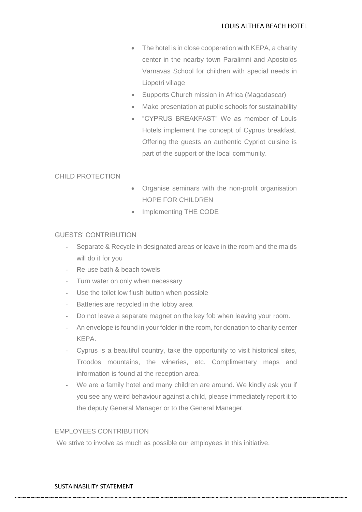- The hotel is in close cooperation with KEPA, a charity center in the nearby town Paralimni and Apostolos Varnavas School for children with special needs in Liopetri village
- Supports Church mission in Africa (Magadascar)
- Make presentation at public schools for sustainability
- "CYPRUS BREAKFAST" We as member of Louis Hotels implement the concept of Cyprus breakfast. Offering the guests an authentic Cypriot cuisine is part of the support of the local community.

# CHILD PROTECTION

- Organise seminars with the non-profit organisation HOPE FOR CHILDREN
- Implementing THE CODE

### GUESTS' CONTRIBUTION

- Separate & Recycle in designated areas or leave in the room and the maids will do it for you
- Re-use bath & beach towels
- Turn water on only when necessary
- Use the toilet low flush button when possible
- Batteries are recycled in the lobby area
- Do not leave a separate magnet on the key fob when leaving your room.
- An envelope is found in your folder in the room, for donation to charity center KEPA.
- Cyprus is a beautiful country, take the opportunity to visit historical sites, Troodos mountains, the wineries, etc. Complimentary maps and information is found at the reception area.
- We are a family hotel and many children are around. We kindly ask you if you see any weird behaviour against a child, please immediately report it to the deputy General Manager or to the General Manager.

# EMPLOYEES CONTRIBUTION

We strive to involve as much as possible our employees in this initiative.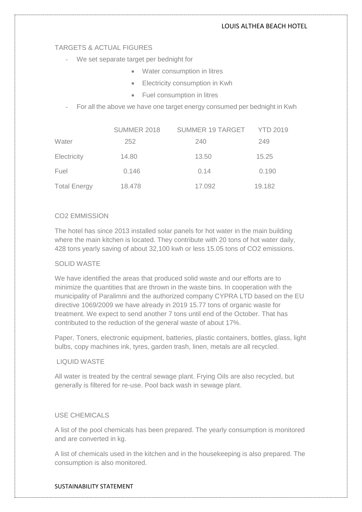### TARGETS & ACTUAL FIGURES

- We set separate target per bednight for
	- Water consumption in litres
	- Electricity consumption in Kwh
	- Fuel consumption in litres
- For all the above we have one target energy consumed per bednight in Kwh

|                     | SUMMER 2018 | SUMMER 19 TARGET YTD 2019 |        |
|---------------------|-------------|---------------------------|--------|
| Water               | 252         | 240                       | 249    |
| Electricity         | 14.80       | 13.50                     | 15.25  |
| Fuel                | 0.146       | 0.14                      | 0.190  |
| <b>Total Energy</b> | 18.478      | 17.092                    | 19.182 |

# CO2 EMMISSION

The hotel has since 2013 installed solar panels for hot water in the main building where the main kitchen is located. They contribute with 20 tons of hot water daily, 428 tons yearly saving of about 32,100 kwh or less 15.05 tons of CO2 emissions.

# SOLID WASTE

We have identified the areas that produced solid waste and our efforts are to minimize the quantities that are thrown in the waste bins. In cooperation with the municipality of Paralimni and the authorized company CYPRA LTD based on the EU directive 1069/2009 we have already in 2019 15.77 tons of organic waste for treatment. We expect to send another 7 tons until end of the October. That has contributed to the reduction of the general waste of about 17%.

Paper, Toners, electronic equipment, batteries, plastic containers, bottles, glass, light bulbs, copy machines ink, tyres, garden trash, linen, metals are all recycled.

#### LIQUID WASTE

All water is treated by the central sewage plant. Frying Oils are also recycled, but generally is filtered for re-use. Pool back wash in sewage plant.

#### USE CHEMICALS

A list of the pool chemicals has been prepared. The yearly consumption is monitored and are converted in kg.

A list of chemicals used in the kitchen and in the housekeeping is also prepared. The consumption is also monitored.